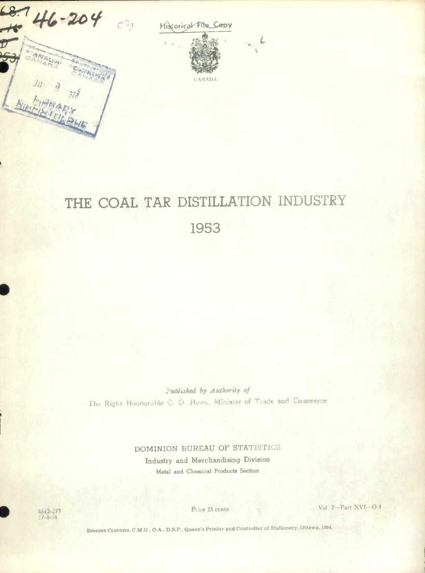

Historical File Copy

CANADA



Published by Authority of The Right Honourable C. D. Howe, Minister of Trade and Commerce

> **DOMINION BUREAU OF STATISTICS Industry and Merchandising Division**  Metal and Chemical Products **Section**

6512-377  $1 - 8 - 54$ 

**0** 

ice 25 cents Vol. 2—Part XVI—O-1

EDMOND CLOUTIEB, C.M.G.. O.A., DSP., Queen's Printer and Controller of Stationery. Ottawa. 1954.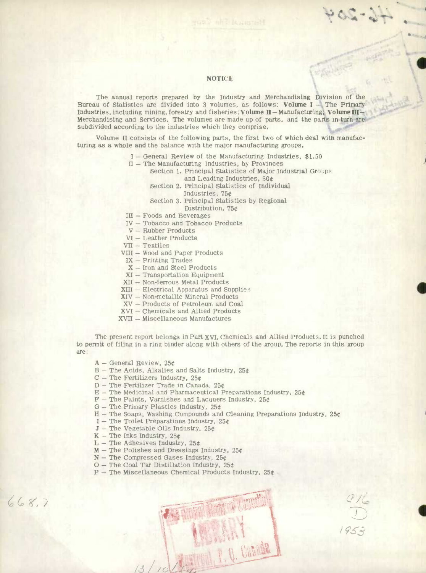#### **NOTICE**

**I** 

 $C_{2} = 1$ 

**I** 

The annual reports prepared by the Industry and Merchandising Division of the Bureau of Statistics are divided into 3 volumes, as follows: **Volume I** - The Primary Industries, including mining, forestry and fisheries; Volume H - Manufacturing; Volume Ill-Merchandising and Services. The volumes are made up of parts, and the parts in turn are subdivided according to the industries which they comprise.

Volume II consists of the following parts, the first two of which deal with manufacturing as a whole and the balance with the major manufacturing groups.

- I General Review of the Manufacturing Industries, \$1.50
- $II$  The Manufacturing Industries, by Provinces
	- Section 1. Principal Statistics of Major Industrial Groups and Leading Industries, 50t
		- Section 2. Principal Statistics of Individual
			- Industries, 75

Section 3. Principal Statistics by Regional Distribution, 75

- III Foods and Beverages
- IV Tobacco and Tobacco Products
- V Rubber Products
- VI Leather Products
- VII Textiles
- VIII Wood and Paper Products
	- IX Printing Trades
- X Iron and Steel Products
- $XI Transportation$  Equipment
- XII Non-ferrous Metal Products
- XIII Electrical Apparatus and Supplies
- XIV Non-metallic Mineral Products
- XV Products of Petroleum and Coal
- XVI Chemicals and Allied Products
- XVII Miscellaneous Manufactures

The present report belongs in Part XVI, Chemicals and Allied Products. It is punched to permit of filing in a ring binder along with others of the group. The reports in this group are:

- $A General Review, 25¢$
- $B$  The Acids, Alkalies and Salts Industry, 25¢
- $C$  The Fertilizers Industry, 25¢
- $D$  The Fertilizer Trade in Canada, 25¢
- $E$  The Medicinal and Pharmaceutical Preparations Industry, 25 $t$
- $F$  The Paints, Varnishes and Lacquers Industry, 25 $t$
- $G$  The Primary Plastics Industry, 25¢
- $H$  The Soaps, Washing Compounds and Cleaning Preparations Industry, 25¢
- I The Toilet Preparations Industry,  $25¢$
- $J$  The Vegetable Oils Industry, 25 $t$
- $K$  The Inks Industry, 25 $t$

 $668.7$ 

- $L$  The Adhesives Industry, 25¢
- $M$  The Polishes and Dressings Industry, 25¢
- $N$  The Compressed Gases Industry, 25¢
- $O$  The Coal Tar Distillation Industry, 25¢
- $P$  The Miscellaneous Chemical Products Industry, 25 $t$

**i** *i <i>I I I I I I I*  $13/10$ 

 $95 - 7$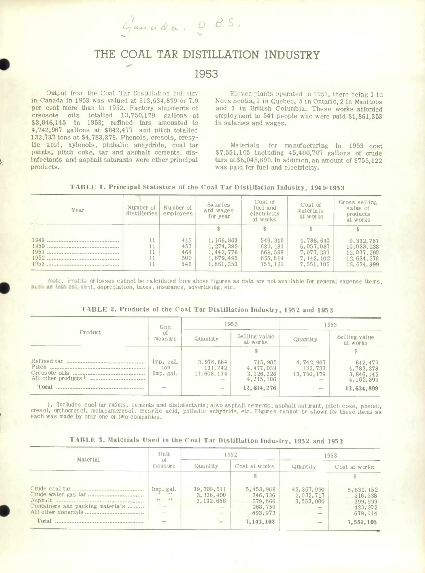Gauada, D. B.S.

# **THE COAL TAR DISTILLATION INDUSTRY**

## **1953**

Output from the Coal Tar Distillation Industry in Canada in 1953 was valued at \$13,634,899 or 7.9 per cent more than in 1952. Factory shipments of creosote oils totalled 13,750,179 gallons at \$3,846,145 in 1953; refined tars amounted to 4,742,967 gallons at \$842,477 and pitch totalled 132,73.7 tons at \$4,783,378. Phenols, cresols, cresylic acid, xylenols, phthalic anhydride, coal tar paints, pitch coke, tar and asphalt cements, disinfectants and asphalt saturants were other principal products.

**S** 

**S** 

Eleven plants operated in 1953, there being 1 in Nova Scotia, 2 in Quebec, 5 in Ontario, 2 in Manitoba and 1 in British Columbia. These works afforded employment to 541 people who were paid \$1,861,353 in salaries and wages.

Materials for manufacturing In 1953 cost \$7,551,105 including 45,400,707 gallons of crude tars at\$6.048,690.In addition, an amount of \$755,122 was paid for fuel and electricity.

|  | TABLE 1. Principal Statistics of the Coal Tar Distillation Industry, 1949–1953 |  |  |  |  |  |  |  |  |  |
|--|--------------------------------------------------------------------------------|--|--|--|--|--|--|--|--|--|
|--|--------------------------------------------------------------------------------|--|--|--|--|--|--|--|--|--|

| Year | Number of<br>distilleries | Number of<br>employees          | Salaries<br>and wages<br>for year                               | Cost of<br>fuel and<br>electricity<br>at works        | Cost of<br>materials<br>at works                                | Gross selling<br>value of<br>products<br>at works                 |
|------|---------------------------|---------------------------------|-----------------------------------------------------------------|-------------------------------------------------------|-----------------------------------------------------------------|-------------------------------------------------------------------|
|      |                           |                                 |                                                                 |                                                       |                                                                 |                                                                   |
| 1953 | 11                        | 415<br>457<br>468<br>500<br>541 | 1.166.863<br>1, 274, 395<br>1.442.776<br>1.679.495<br>1,861,353 | 549.310<br>633.181<br>668,588<br>655, 814<br>755, 122 | 4,786,640<br>6.057.087<br>7.077.237<br>7, 143, 102<br>7,551,105 | 9.332.787<br>10,033,238<br>12.077.290<br>12.634.276<br>13.634.899 |

Nota. Profits or losses cannot be calculated from above figures as data are not available for general expense items, nech as interest, rent, depreciation, taxes, insurance, advertising, etc.

|  |  |  |  |  | TABLE 2. Products of the Coal Tar Distillation Industry, 1952 and 1953 |  |  |  |
|--|--|--|--|--|------------------------------------------------------------------------|--|--|--|
|--|--|--|--|--|------------------------------------------------------------------------|--|--|--|

|                                            | Unit                                    |                                    | 1952                                                               | 1953                                                                           |                                                                  |  |
|--------------------------------------------|-----------------------------------------|------------------------------------|--------------------------------------------------------------------|--------------------------------------------------------------------------------|------------------------------------------------------------------|--|
| Product                                    | οf<br>measure                           | Quantity                           | Selling value<br>at works                                          | Quantity                                                                       | Selling value<br>at works                                        |  |
|                                            |                                         |                                    |                                                                    |                                                                                |                                                                  |  |
| Total<br>********************************* | Imp. gal.<br>ton<br>Imp. gal.<br>$-100$ | 3,976,884<br>131.742<br>11.608.114 | 715,905<br>4,477,039<br>3, 226, 226<br>4, 215, 106<br>12, 634, 276 | 4,742,967<br>132.737<br>13,750,179<br><b>Group</b><br>$\overline{\phantom{a}}$ | 842.477<br>4,783,378<br>3, 846, 145<br>4,162,899<br>13, 634, 899 |  |

1. Includes coal tar paints, cements and disinfectants; also asphalt cements, asphalt saturant, pitch coke, phenol, cresol, crthocresol, metaparacresol, cresylic acid, phthalic anhydride. etc. Figures cannot be shown for these items as each was made by only one or two companies.

|  |  |  |  |  | TABLE 3. Materials Used in the Coal Tar Distillation Industry, 1952 and 1953 |  |  |  |  |
|--|--|--|--|--|------------------------------------------------------------------------------|--|--|--|--|
|--|--|--|--|--|------------------------------------------------------------------------------|--|--|--|--|

| Material                                  | Unit<br>Οf                                 |                                        | 1952                                                                | 1953                                                                    |                                                                         |  |
|-------------------------------------------|--------------------------------------------|----------------------------------------|---------------------------------------------------------------------|-------------------------------------------------------------------------|-------------------------------------------------------------------------|--|
|                                           | measure                                    | Quantity                               | Cost at works                                                       | Quantity                                                                | Cost at works                                                           |  |
|                                           |                                            |                                        |                                                                     |                                                                         |                                                                         |  |
| Containers and packing materials<br>Total | Imp. gal.<br>6.6<br>B.5<br>5.6<br>64<br>٦L | 39,700,511<br>3,336,400<br>3, 132, 656 | 5,453,968<br>346,736<br>379,666<br>268,759<br>693, 973<br>7,143,102 | 43, 367, 990<br>2.032.717<br>3.553.000<br><b>SHOW:</b><br>$\sim$<br>$-$ | 5, 832, 152<br>216,538<br>399, 999<br>423, 302<br>679, 114<br>7,551,105 |  |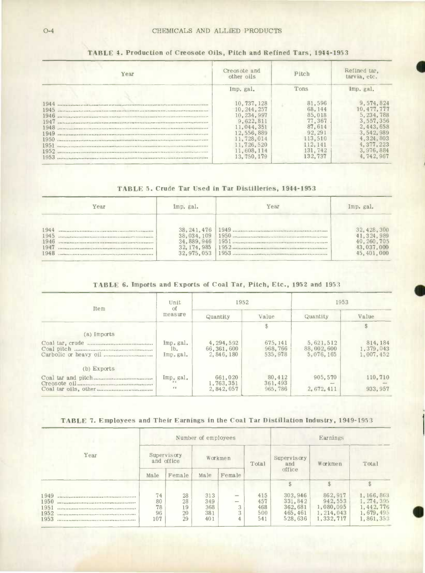| Year                                                                         | Creosote and<br>other oils                                                                                                                | Pitch                                                                                                  | Refined tar.<br>tarvia, etc.                                                                                                    |  |
|------------------------------------------------------------------------------|-------------------------------------------------------------------------------------------------------------------------------------------|--------------------------------------------------------------------------------------------------------|---------------------------------------------------------------------------------------------------------------------------------|--|
|                                                                              | Imp. gal.                                                                                                                                 | Tons                                                                                                   | Imp. gal.                                                                                                                       |  |
| 1944<br>1945<br>1946<br>1947<br>1948<br>1949<br>1950<br>1951<br>1952<br>1953 | 10.737.128<br>10.244.257<br>10, 234, 997<br>9.622.811<br>11.044.351<br>12.556.889<br>11.728.014<br>11,726,520<br>11.608.114<br>13.750.179 | 81,596<br>68, 144<br>85.018<br>77.367<br>87.614<br>92, 291<br>113,510<br>112.141<br>131.742<br>132.737 | 9.574.824<br>10.477.777<br>5.234.788<br>3.557.356<br>2.443.658<br>3.542.989<br>4,324,803<br>4.377.223<br>3.976.884<br>4.742.967 |  |

## **TABLE 4. Production of Creosote Oils, Pitch and Refined Tars, 1944-195 3**

**a** 

**I** 

## **TABLE 5. Crude Tar Used in Tar DIstilleries, 1944-1953**

|      | Year | Imp. gal.    | Year | Imp. gal.    |
|------|------|--------------|------|--------------|
| 1944 |      | 38, 241, 476 |      | 32, 428, 300 |
| 1945 |      | 38,034,109   |      | 41, 324, 989 |
| 1946 |      | 34, 889, 946 |      | 40.260.705   |
| 1947 |      | 32, 174, 985 |      | 43,037,000   |
| 1948 |      | 32.975.053   |      | 45,401,000   |

## **TABLE 6. Impotts and Exports of Coal Tar, Pitch, Etc., 1952 and 1953**

| <b>Item</b>   | Unit<br><sup>of</sup>                  | 1952                                 |                                | 1953                                 |                                    |  |
|---------------|----------------------------------------|--------------------------------------|--------------------------------|--------------------------------------|------------------------------------|--|
|               | measure                                | Quantity                             | Value                          | Quantity                             | Value                              |  |
|               |                                        |                                      | \$                             |                                      |                                    |  |
| (a) Imports   |                                        |                                      |                                |                                      |                                    |  |
|               | Imp.gal.<br>1 <sub>b</sub><br>Imp.gal. | 4.294.592<br>66.361.600<br>2.846.180 | 675, 141<br>968.766<br>535.978 | 5.621.512<br>88,002,600<br>5.076.165 | 814, 184<br>1,379,043<br>1,007,452 |  |
| $(b)$ Exports |                                        |                                      |                                |                                      |                                    |  |
|               | Imp. gal.<br>p, d<br>p, q              | 661.020<br>1.763.351<br>2.842.057    | 80.412<br>361, 493<br>965, 786 | 905,570<br>2,672,411                 | 110,710<br>933, 957                |  |

## TABLE 7. Employees and Their Earnings in the Coal Tar Distillation Industry, 1949-1953

|                                      |                             |                            | Number of employees             |                                                | Earnings                        |                                                      |                                                             |                                                                 |
|--------------------------------------|-----------------------------|----------------------------|---------------------------------|------------------------------------------------|---------------------------------|------------------------------------------------------|-------------------------------------------------------------|-----------------------------------------------------------------|
| Year                                 | Supervisory<br>and office   |                            | Workmen                         |                                                | Total                           | Supervisory<br>and                                   | Workmen                                                     | Total                                                           |
|                                      | Male                        | Female                     | Male                            | Female                                         |                                 | office                                               |                                                             |                                                                 |
|                                      |                             |                            |                                 |                                                |                                 |                                                      |                                                             |                                                                 |
| 1949<br>1950<br>1951<br>1952<br>1953 | 74<br>80<br>78<br>96<br>107 | 28<br>28<br>19<br>20<br>29 | 313<br>349<br>368<br>381<br>401 | $-$<br>$\overline{\phantom{a}}$<br>3<br>3<br>4 | 415<br>457<br>468<br>500<br>541 | 303, 946<br>331.842<br>362.681<br>465.461<br>528.636 | 862.917<br>942.553<br>1,080,095<br>1, 214, 043<br>1.332.717 | 1,166,863<br>1, 274, 395<br>1,442,776<br>1,679,495<br>1,861,353 |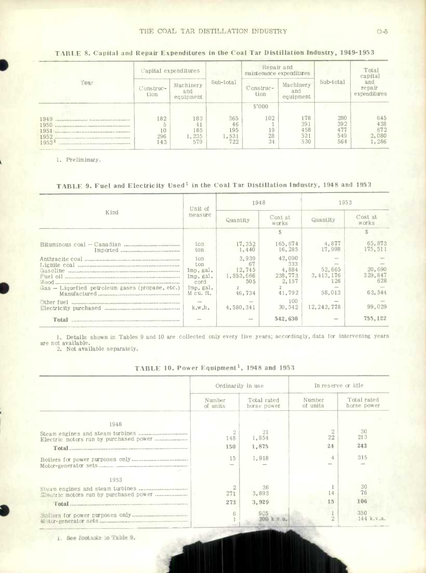#### THE COAL TAR DISTILLATION INDUSTRY

# TABLE 8. Capital and Repair Expenditures in the Coal Tar Distillation Industry, 1949-1953

| Year                              |                         | Capital expenditures             | Sub-total                        | Repair and<br>maintenance expenditures |                                 | Sub-total                       | Total<br>capital<br>and<br>repair<br>expenditures |  |
|-----------------------------------|-------------------------|----------------------------------|----------------------------------|----------------------------------------|---------------------------------|---------------------------------|---------------------------------------------------|--|
|                                   | Construc-<br>tion       | Machinery<br>and<br>equipment    |                                  | Construc-<br>tion                      | Machinery<br>and<br>equipment   |                                 |                                                   |  |
| 1949<br>1950<br>1953 <sup>1</sup> | 182<br>10<br>296<br>143 | 183<br>41<br>185<br>1.235<br>579 | 365<br>46<br>195<br>1,531<br>722 | \$'000<br>102<br>19<br>28<br>34        | 178<br>391<br>458<br>521<br>530 | 280<br>392<br>477<br>549<br>564 | 645<br>438<br>672<br>2,080<br>1,286               |  |

1. Preliminary.

# TABLE 9. Fuel and Electricity Used<sup>1</sup> in the Coal Tar Distillation Industry, 1948 and 1953

|                                                 | Unit of                                                                        | 1948                                                              |                                                                       | 1953                                               |                                              |  |
|-------------------------------------------------|--------------------------------------------------------------------------------|-------------------------------------------------------------------|-----------------------------------------------------------------------|----------------------------------------------------|----------------------------------------------|--|
| Kind                                            | measure                                                                        | Quantity                                                          | Cost at<br>works                                                      | Quantity                                           | Cost at<br>works                             |  |
|                                                 |                                                                                |                                                                   |                                                                       |                                                    | S.                                           |  |
| Imported                                        | ton<br>ton                                                                     | 17.352<br>1,440                                                   | 165.674<br>16,285                                                     | 4,877<br>17.998                                    | 65.873<br>175, 511                           |  |
| Gas - Liquefied petroleum gases (propane, etc.) | ton<br>ton<br>Imp.gal.<br>Imp.gal.<br>cord<br>Imp, gal.<br>M cu. ft.<br>k.w.h. | 3,939<br>67<br>12.745<br>1,853,666<br>50.5<br>46,734<br>4,580,341 | 42,090<br>333<br>4,884<br>238,773<br>2.157<br>41.792<br>100<br>30.542 | 52.665<br>3.413.176<br>126<br>58.013<br>12.242.778 | 20,690<br>329,847<br>628<br>63.544<br>99,029 |  |
| Total                                           |                                                                                |                                                                   | 542,630                                                               |                                                    | 755.122                                      |  |

1. Details shown in Tables 9 and 10 are collected only every five years; accordingly, data for intervening years are not available.<br>2. Not available separately.

|  |  |  | TABLE 10. Power Equipment <sup>1</sup> , |  | 1948 and 1953 |  |  |
|--|--|--|------------------------------------------|--|---------------|--|--|
|--|--|--|------------------------------------------|--|---------------|--|--|

|                                       | Ordinarily in use  |                            | In reserve or idle |                            |  |
|---------------------------------------|--------------------|----------------------------|--------------------|----------------------------|--|
|                                       | Number<br>of units | Total rated<br>horse power | Number<br>of units | Total rated<br>horse power |  |
| 1948                                  |                    |                            |                    |                            |  |
|                                       | 148                | 21<br>1,854                | 22                 | 30<br>213                  |  |
|                                       | 150                | 1,875                      | 24                 | 243                        |  |
|                                       | 15                 | 1,918                      |                    | 315                        |  |
| 1953                                  |                    |                            |                    |                            |  |
| Hectric motors run by purchased power | 271                | 36<br>3,893                | 14                 | 30<br>76                   |  |
|                                       | 273                | 3.929                      | 15                 | 106                        |  |
|                                       | 6                  | 905                        | 2                  | 350<br>144 k.v.a.          |  |

1. See footnote to Table 9.